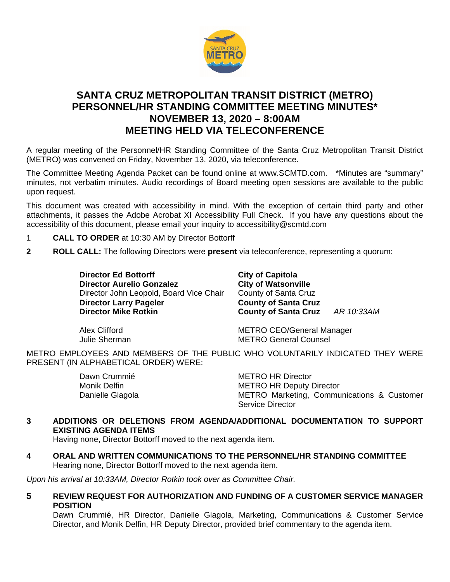

# **SANTA CRUZ METROPOLITAN TRANSIT DISTRICT (METRO) PERSONNEL/HR STANDING COMMITTEE MEETING MINUTES\* NOVEMBER 13, 2020 – 8:00AM MEETING HELD VIA TELECONFERENCE**

A regular meeting of the Personnel/HR Standing Committee of the Santa Cruz Metropolitan Transit District (METRO) was convened on Friday, November 13, 2020, via teleconference.

The Committee Meeting Agenda Packet can be found online at www.SCMTD.com. \*Minutes are "summary" minutes, not verbatim minutes. Audio recordings of Board meeting open sessions are available to the public upon request.

This document was created with accessibility in mind. With the exception of certain third party and other attachments, it passes the Adobe Acrobat XI Accessibility Full Check. If you have any questions about the accessibility of this document, please email your inquiry to accessibility@scmtd.com

- 1 **CALL TO ORDER** at 10:30 AM by Director Bottorff
- **2 ROLL CALL:** The following Directors were **present** via teleconference, representing a quorum:

**Director Ed Bottorff City of Capitola**<br>
Director Aurelio Gonzalez City of Watsonville **Director Aurelio Gonzalez City of Watsonville**<br>Director John Leopold. Board Vice Chair County of Santa Cruz Director John Leopold, Board Vice Chair **Director Larry Pageler County of Santa Cruz**<br> **Director Mike Rotkin**<br> **County of Santa Cruz** 

**Director Mike Rotkin County of Santa Cruz** *AR 10:33AM*

Alex Clifford METRO CEO/General Manager<br>
Julie Sherman METRO General Counsel **METRO General Counsel** 

METRO EMPLOYEES AND MEMBERS OF THE PUBLIC WHO VOLUNTARILY INDICATED THEY WERE PRESENT (IN ALPHABETICAL ORDER) WERE:

| Dawn Crummié     | <b>METRO HR Director</b>                   |
|------------------|--------------------------------------------|
| Monik Delfin     | <b>METRO HR Deputy Director</b>            |
| Danielle Glagola | METRO Marketing, Communications & Customer |
|                  | Service Director                           |

## **3 ADDITIONS OR DELETIONS FROM AGENDA/ADDITIONAL DOCUMENTATION TO SUPPORT EXISTING AGENDA ITEMS**

Having none, Director Bottorff moved to the next agenda item.

**4 ORAL AND WRITTEN COMMUNICATIONS TO THE PERSONNEL/HR STANDING COMMITTEE** Hearing none, Director Bottorff moved to the next agenda item.

*Upon his arrival at 10:33AM, Director Rotkin took over as Committee Chair.*

**5 REVIEW REQUEST FOR AUTHORIZATION AND FUNDING OF A CUSTOMER SERVICE MANAGER POSITION** 

Dawn Crummié, HR Director, Danielle Glagola, Marketing, Communications & Customer Service Director, and Monik Delfin, HR Deputy Director, provided brief commentary to the agenda item.